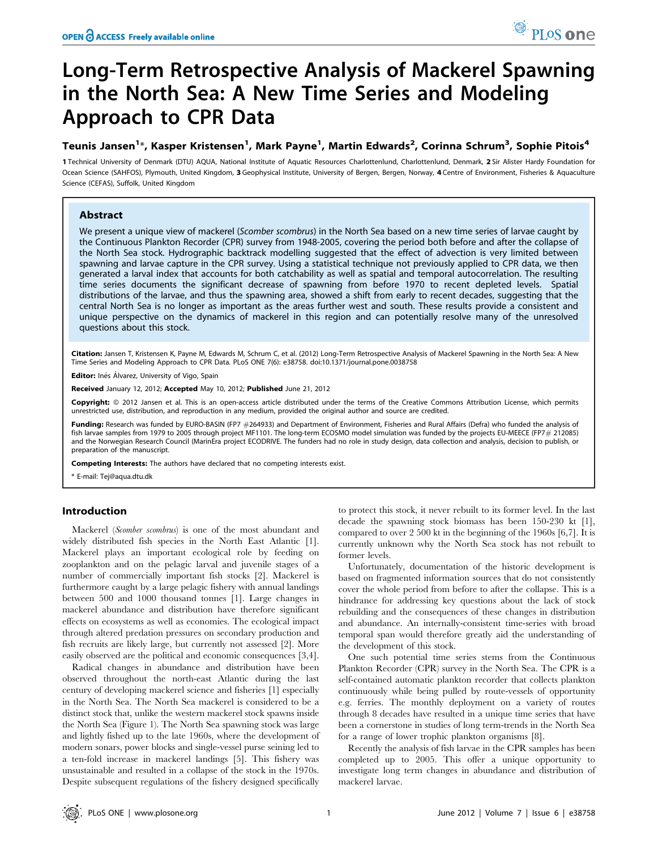# Long-Term Retrospective Analysis of Mackerel Spawning in the North Sea: A New Time Series and Modeling Approach to CPR Data

# Teunis Jansen<sup>1</sup>\*, Kasper Kristensen<sup>1</sup>, Mark Payne<sup>1</sup>, Martin Edwards<sup>2</sup>, Corinna Schrum<sup>3</sup>, Sophie Pitois<sup>4</sup>

1 Technical University of Denmark (DTU) AQUA, National Institute of Aquatic Resources Charlottenlund, Charlottenlund, Denmark, 2 Sir Alister Hardy Foundation for Ocean Science (SAHFOS), Plymouth, United Kingdom, 3 Geophysical Institute, University of Bergen, Bergen, Norway, 4 Centre of Environment, Fisheries & Aquaculture Science (CEFAS), Suffolk, United Kingdom

# Abstract

We present a unique view of mackerel (Scomber scombrus) in the North Sea based on a new time series of larvae caught by the Continuous Plankton Recorder (CPR) survey from 1948-2005, covering the period both before and after the collapse of the North Sea stock. Hydrographic backtrack modelling suggested that the effect of advection is very limited between spawning and larvae capture in the CPR survey. Using a statistical technique not previously applied to CPR data, we then generated a larval index that accounts for both catchability as well as spatial and temporal autocorrelation. The resulting time series documents the significant decrease of spawning from before 1970 to recent depleted levels. Spatial distributions of the larvae, and thus the spawning area, showed a shift from early to recent decades, suggesting that the central North Sea is no longer as important as the areas further west and south. These results provide a consistent and unique perspective on the dynamics of mackerel in this region and can potentially resolve many of the unresolved questions about this stock.

Citation: Jansen T, Kristensen K, Payne M, Edwards M, Schrum C, et al. (2012) Long-Term Retrospective Analysis of Mackerel Spawning in the North Sea: A New Time Series and Modeling Approach to CPR Data. PLoS ONE 7(6): e38758. doi:10.1371/journal.pone.0038758

Editor: Inés Álvarez, University of Vigo, Spain

Received January 12, 2012; Accepted May 10, 2012; Published June 21, 2012

Copyright: © 2012 Jansen et al. This is an open-access article distributed under the terms of the Creative Commons Attribution License, which permits unrestricted use, distribution, and reproduction in any medium, provided the original author and source are credited.

Funding: Research was funded by EURO-BASIN (FP7 #264933) and Department of Environment, Fisheries and Rural Affairs (Defra) who funded the analysis of fish larvae samples from 1979 to 2005 through project MF1101. The long-term ECOSMO model simulation was funded by the projects EU-MEECE (FP7# 212085) and the Norwegian Research Council (MarinEra project ECODRIVE. The funders had no role in study design, data collection and analysis, decision to publish, or preparation of the manuscript.

Competing Interests: The authors have declared that no competing interests exist.

\* E-mail: Tej@aqua.dtu.dk

#### Introduction

Mackerel (Scomber scombrus) is one of the most abundant and widely distributed fish species in the North East Atlantic [1]. Mackerel plays an important ecological role by feeding on zooplankton and on the pelagic larval and juvenile stages of a number of commercially important fish stocks [2]. Mackerel is furthermore caught by a large pelagic fishery with annual landings between 500 and 1000 thousand tonnes [1]. Large changes in mackerel abundance and distribution have therefore significant effects on ecosystems as well as economies. The ecological impact through altered predation pressures on secondary production and fish recruits are likely large, but currently not assessed [2]. More easily observed are the political and economic consequences [3,4].

Radical changes in abundance and distribution have been observed throughout the north-east Atlantic during the last century of developing mackerel science and fisheries [1] especially in the North Sea. The North Sea mackerel is considered to be a distinct stock that, unlike the western mackerel stock spawns inside the North Sea (Figure 1). The North Sea spawning stock was large and lightly fished up to the late 1960s, where the development of modern sonars, power blocks and single-vessel purse seining led to a ten-fold increase in mackerel landings [5]. This fishery was unsustainable and resulted in a collapse of the stock in the 1970s. Despite subsequent regulations of the fishery designed specifically

to protect this stock, it never rebuilt to its former level. In the last decade the spawning stock biomass has been 150-230 kt [1], compared to over 2 500 kt in the beginning of the 1960s [6,7]. It is currently unknown why the North Sea stock has not rebuilt to former levels.

Unfortunately, documentation of the historic development is based on fragmented information sources that do not consistently cover the whole period from before to after the collapse. This is a hindrance for addressing key questions about the lack of stock rebuilding and the consequences of these changes in distribution and abundance. An internally-consistent time-series with broad temporal span would therefore greatly aid the understanding of the development of this stock.

One such potential time series stems from the Continuous Plankton Recorder (CPR) survey in the North Sea. The CPR is a self-contained automatic plankton recorder that collects plankton continuously while being pulled by route-vessels of opportunity e.g. ferries. The monthly deployment on a variety of routes through 8 decades have resulted in a unique time series that have been a cornerstone in studies of long term-trends in the North Sea for a range of lower trophic plankton organisms [8].

Recently the analysis of fish larvae in the CPR samples has been completed up to 2005. This offer a unique opportunity to investigate long term changes in abundance and distribution of mackerel larvae.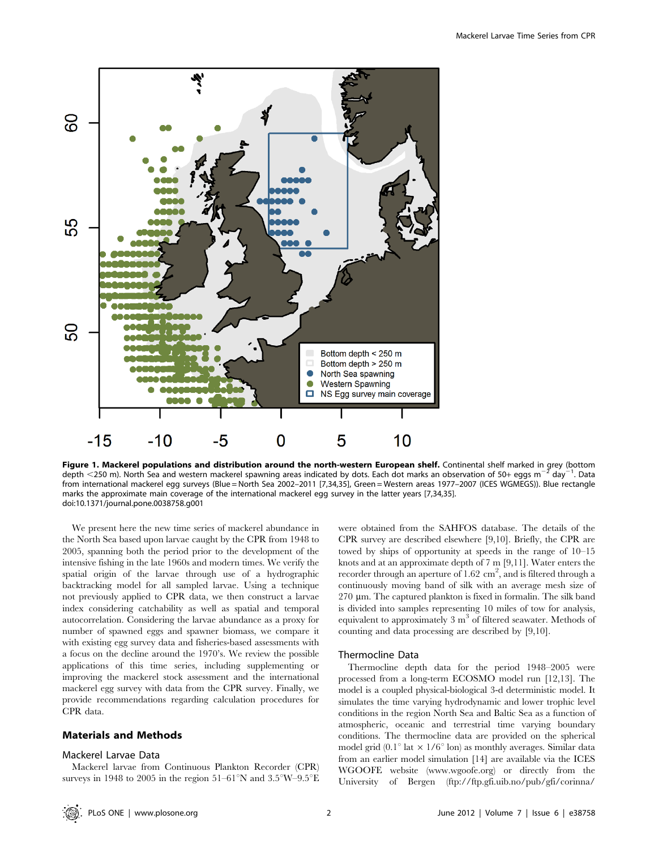

Figure 1. Mackerel populations and distribution around the north-western European shelf. Continental shelf marked in grey (bottom depth <250 m). North Sea and western mackerel spawning areas indicated by dots. Each dot marks an observation of 50+ eggs m<sup>-2</sup> day<sup>-</sup> . Data from international mackerel egg surveys (Blue = North Sea 2002–2011 [7,34,35], Green = Western areas 1977–2007 (ICES WGMEGS)). Blue rectangle marks the approximate main coverage of the international mackerel egg survey in the latter years [7,34,35]. doi:10.1371/journal.pone.0038758.g001

We present here the new time series of mackerel abundance in the North Sea based upon larvae caught by the CPR from 1948 to 2005, spanning both the period prior to the development of the intensive fishing in the late 1960s and modern times. We verify the spatial origin of the larvae through use of a hydrographic backtracking model for all sampled larvae. Using a technique not previously applied to CPR data, we then construct a larvae index considering catchability as well as spatial and temporal autocorrelation. Considering the larvae abundance as a proxy for number of spawned eggs and spawner biomass, we compare it with existing egg survey data and fisheries-based assessments with a focus on the decline around the 1970's. We review the possible applications of this time series, including supplementing or improving the mackerel stock assessment and the international mackerel egg survey with data from the CPR survey. Finally, we provide recommendations regarding calculation procedures for CPR data.

#### Materials and Methods

#### Mackerel Larvae Data

Mackerel larvae from Continuous Plankton Recorder (CPR) surveys in 1948 to 2005 in the region  $51-61^{\circ}N$  and  $3.5^{\circ}W-9.5^{\circ}E$  were obtained from the SAHFOS database. The details of the CPR survey are described elsewhere [9,10]. Briefly, the CPR are towed by ships of opportunity at speeds in the range of 10–15 knots and at an approximate depth of 7 m [9,11]. Water enters the recorder through an aperture of  $1.62 \text{ cm}^2$ , and is filtered through a continuously moving band of silk with an average mesh size of 270 µm. The captured plankton is fixed in formalin. The silk band is divided into samples representing 10 miles of tow for analysis, equivalent to approximately 3  $m<sup>3</sup>$  of filtered seawater. Methods of counting and data processing are described by [9,10].

#### Thermocline Data

Thermocline depth data for the period 1948–2005 were processed from a long-term ECOSMO model run [12,13]. The model is a coupled physical-biological 3-d deterministic model. It simulates the time varying hydrodynamic and lower trophic level conditions in the region North Sea and Baltic Sea as a function of atmospheric, oceanic and terrestrial time varying boundary conditions. The thermocline data are provided on the spherical model grid (0.1 $\degree$  lat  $\times$  1/6 $\degree$  lon) as monthly averages. Similar data from an earlier model simulation [14] are available via the ICES WGOOFE website (www.wgoofe.org) or directly from the University of Bergen (ftp://ftp.gfi.uib.no/pub/gfi/corinna/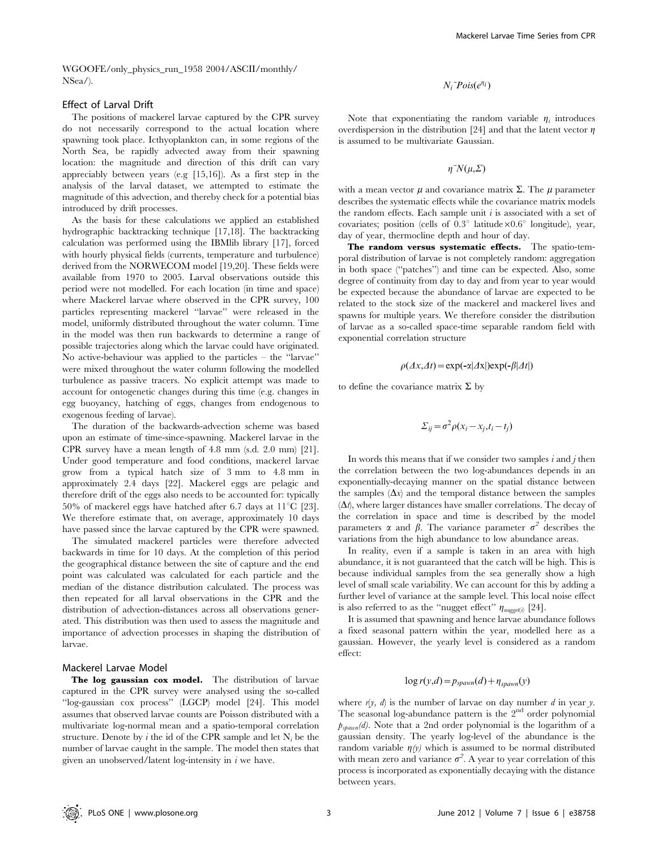WGOOFE/only\_physics\_run\_1958 2004/ASCII/monthly/ NSea/).

#### Effect of Larval Drift

The positions of mackerel larvae captured by the CPR survey do not necessarily correspond to the actual location where spawning took place. Icthyoplankton can, in some regions of the North Sea, be rapidly advected away from their spawning location: the magnitude and direction of this drift can vary appreciably between years (e.g [15,16]). As a first step in the analysis of the larval dataset, we attempted to estimate the magnitude of this advection, and thereby check for a potential bias introduced by drift processes.

As the basis for these calculations we applied an established hydrographic backtracking technique [17,18]. The backtracking calculation was performed using the IBMlib library [17], forced with hourly physical fields (currents, temperature and turbulence) derived from the NORWECOM model [19,20]. These fields were available from 1970 to 2005. Larval observations outside this period were not modelled. For each location (in time and space) where Mackerel larvae where observed in the CPR survey, 100 particles representing mackerel ''larvae'' were released in the model, uniformly distributed throughout the water column. Time in the model was then run backwards to determine a range of possible trajectories along which the larvae could have originated. No active-behaviour was applied to the particles – the ''larvae'' were mixed throughout the water column following the modelled turbulence as passive tracers. No explicit attempt was made to account for ontogenetic changes during this time (e.g. changes in egg buoyancy, hatching of eggs, changes from endogenous to exogenous feeding of larvae).

The duration of the backwards-advection scheme was based upon an estimate of time-since-spawning. Mackerel larvae in the CPR survey have a mean length of 4.8 mm (s.d. 2.0 mm) [21]. Under good temperature and food conditions, mackerel larvae grow from a typical hatch size of 3 mm to 4.8 mm in approximately 2.4 days [22]. Mackerel eggs are pelagic and therefore drift of the eggs also needs to be accounted for: typically  $50\%$  of mackerel eggs have hatched after 6.7 days at 11<sup>o</sup>C [23]. We therefore estimate that, on average, approximately 10 days have passed since the larvae captured by the CPR were spawned.

The simulated mackerel particles were therefore advected backwards in time for 10 days. At the completion of this period the geographical distance between the site of capture and the end point was calculated was calculated for each particle and the median of the distance distribution calculated. The process was then repeated for all larval observations in the CPR and the distribution of advection-distances across all observations generated. This distribution was then used to assess the magnitude and importance of advection processes in shaping the distribution of larvae.

#### Mackerel Larvae Model

The log gaussian cox model. The distribution of larvae captured in the CPR survey were analysed using the so-called ''log-gaussian cox process'' (LGCP) model [24]. This model assumes that observed larvae counts are Poisson distributed with a multivariate log-normal mean and a spatio-temporal correlation structure. Denote by i the id of the CPR sample and let  $N_i$  be the number of larvae caught in the sample. The model then states that given an unobserved/latent log-intensity in  $i$  we have.

 $N_i$ <sup>~</sup>Pois( $e^{n_i}$ )

Note that exponentiating the random variable  $\eta_i$  introduces overdispersion in the distribution [24] and that the latent vector  $\eta$ is assumed to be multivariate Gaussian.

 $\eta^{\sim}N(\mu,\Sigma)$ 

with a mean vector  $\mu$  and covariance matrix  $\Sigma$ . The  $\mu$  parameter describes the systematic effects while the covariance matrix models the random effects. Each sample unit  $i$  is associated with a set of covariates; position (cells of  $0.3^{\circ}$  latitude  $\times 0.6^{\circ}$  longitude), year, day of year, thermocline depth and hour of day.

The random versus systematic effects. The spatio-temporal distribution of larvae is not completely random: aggregation in both space (''patches'') and time can be expected. Also, some degree of continuity from day to day and from year to year would be expected because the abundance of larvae are expected to be related to the stock size of the mackerel and mackerel lives and spawns for multiple years. We therefore consider the distribution of larvae as a so-called space-time separable random field with exponential correlation structure

$$
\rho(\Delta x, \Delta t) = \exp(-\alpha|\Delta x|)\exp(-\beta|\Delta t|)
$$

to define the covariance matrix  $\Sigma$  by

$$
\Sigma_{ij} = \sigma^2 \rho (x_i - x_j, t_i - t_j)
$$

In words this means that if we consider two samples  $i$  and  $j$  then the correlation between the two log-abundances depends in an exponentially-decaying manner on the spatial distance between the samples  $(\Delta x)$  and the temporal distance between the samples  $(\Delta t)$ , where larger distances have smaller correlations. The decay of the correlation in space and time is described by the model parameters  $\alpha$  and  $\beta$ . The variance parameter  $\sigma^2$  describes the variations from the high abundance to low abundance areas.

In reality, even if a sample is taken in an area with high abundance, it is not guaranteed that the catch will be high. This is because individual samples from the sea generally show a high level of small scale variability. We can account for this by adding a further level of variance at the sample level. This local noise effect is also referred to as the "nugget effect"  $\eta_{nugget(i)}$  [24].

It is assumed that spawning and hence larvae abundance follows a fixed seasonal pattern within the year, modelled here as a gaussian. However, the yearly level is considered as a random effect:

# $\log r(y,d) = p_{spamn}(d) + \eta_{spamn}(y)$

where  $r(y, d)$  is the number of larvae on day number d in year y. The seasonal log-abundance pattern is the  $2<sup>nd</sup>$  order polynomial  $p_{\text{spam}}(d)$ . Note that a 2nd order polynomial is the logarithm of a gaussian density. The yearly log-level of the abundance is the random variable  $\eta(y)$  which is assumed to be normal distributed with mean zero and variance  $\sigma^2$ . A year to year correlation of this process is incorporated as exponentially decaying with the distance between years.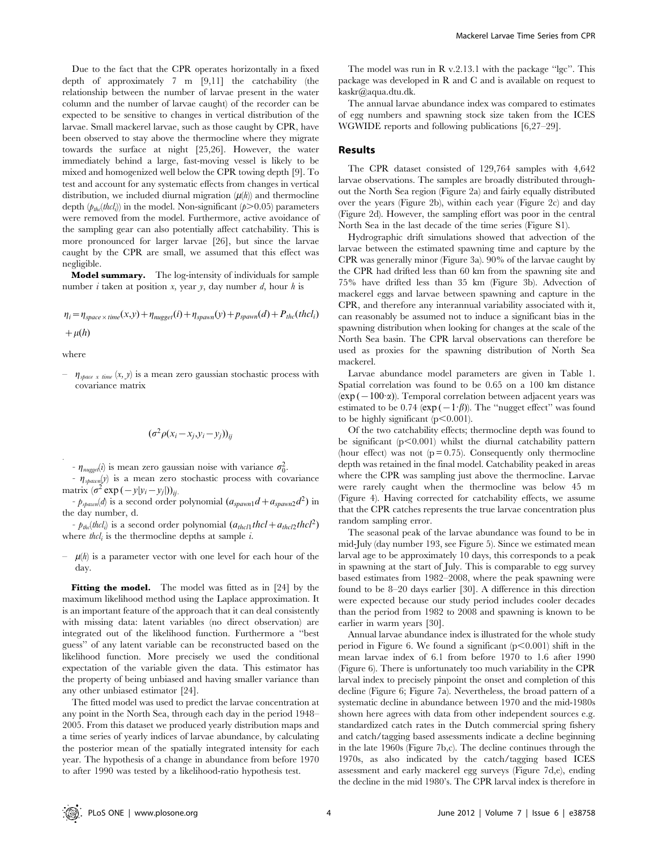Due to the fact that the CPR operates horizontally in a fixed depth of approximately 7 m [9,11] the catchability (the relationship between the number of larvae present in the water column and the number of larvae caught) of the recorder can be expected to be sensitive to changes in vertical distribution of the larvae. Small mackerel larvae, such as those caught by CPR, have been observed to stay above the thermocline where they migrate towards the surface at night [25,26]. However, the water immediately behind a large, fast-moving vessel is likely to be mixed and homogenized well below the CPR towing depth [9]. To test and account for any systematic effects from changes in vertical distribution, we included diurnal migration  $(u(h))$  and thermocline depth  $(p_{thc}(thcl_i))$  in the model. Non-significant  $(p>0.05)$  parameters were removed from the model. Furthermore, active avoidance of the sampling gear can also potentially affect catchability. This is more pronounced for larger larvae [26], but since the larvae caught by the CPR are small, we assumed that this effect was negligible.

Model summary. The log-intensity of individuals for sample number  $i$  taken at position  $x$ , year  $y$ , day number  $d$ , hour  $h$  is

$$
\eta_i = \eta_{space \times time}(x, y) + \eta_{nugget}(i) + \eta_{spamy}(y) + p_{spamy}(d) + P_{thc}(thcl_i) + \mu(h)
$$

where

.

 $\eta_{\text{space }x \text{ time}} (x, y)$  is a mean zero gaussian stochastic process with covariance matrix

$$
(\sigma^2 \rho (x_i - x_j, y_i - y_j))_{ij}
$$

-  $\eta_{nuggel}(i)$  is mean zero gaussian noise with variance  $\sigma_0^2$ .

-  $\eta_{\text{spam}}(y)$  is a mean zero stochastic process with covariance matrix  $(\sigma^2 \exp(-y|y_i-y_j|))_{ij}$ .

-  $p_{spam}(d)$  is a second order polynomial  $(a_{spam1}d + a_{spam2}d^2)$  in the day number, d.

-  $p_{thc}(thcl_i)$  is a second order polynomial  $(a_{thc1}thcl + a_{thc12}thcl^2)$ where *thcl<sub>i</sub>* is the thermocline depths at sample *i*.

–  $\mu(h)$  is a parameter vector with one level for each hour of the day.

Fitting the model. The model was fitted as in [24] by the maximum likelihood method using the Laplace approximation. It is an important feature of the approach that it can deal consistently with missing data: latent variables (no direct observation) are integrated out of the likelihood function. Furthermore a ''best guess'' of any latent variable can be reconstructed based on the likelihood function. More precisely we used the conditional expectation of the variable given the data. This estimator has the property of being unbiased and having smaller variance than any other unbiased estimator [24].

The fitted model was used to predict the larvae concentration at any point in the North Sea, through each day in the period 1948– 2005. From this dataset we produced yearly distribution maps and a time series of yearly indices of larvae abundance, by calculating the posterior mean of the spatially integrated intensity for each year. The hypothesis of a change in abundance from before 1970 to after 1990 was tested by a likelihood-ratio hypothesis test.

The model was run in R v.2.13.1 with the package "lgc". This package was developed in R and C and is available on request to kaskr@aqua.dtu.dk.

The annual larvae abundance index was compared to estimates of egg numbers and spawning stock size taken from the ICES WGWIDE reports and following publications [6,27–29].

#### Results

The CPR dataset consisted of 129,764 samples with 4,642 larvae observations. The samples are broadly distributed throughout the North Sea region (Figure 2a) and fairly equally distributed over the years (Figure 2b), within each year (Figure 2c) and day (Figure 2d). However, the sampling effort was poor in the central North Sea in the last decade of the time series (Figure S1).

Hydrographic drift simulations showed that advection of the larvae between the estimated spawning time and capture by the CPR was generally minor (Figure 3a). 90% of the larvae caught by the CPR had drifted less than 60 km from the spawning site and 75% have drifted less than 35 km (Figure 3b). Advection of mackerel eggs and larvae between spawning and capture in the CPR, and therefore any interannual variability associated with it, can reasonably be assumed not to induce a significant bias in the spawning distribution when looking for changes at the scale of the North Sea basin. The CPR larval observations can therefore be used as proxies for the spawning distribution of North Sea mackerel.

Larvae abundance model parameters are given in Table 1. Spatial correlation was found to be 0.65 on a 100 km distance  $(\exp(-100\cdot\alpha))$ . Temporal correlation between adjacent years was estimated to be 0.74 ( $exp(-1\cdot\beta)$ ). The "nugget effect" was found to be highly significant  $(p<0.001)$ .

Of the two catchability effects; thermocline depth was found to be significant  $(p<0.001)$  whilst the diurnal catchability pattern (hour effect) was not  $(p = 0.75)$ . Consequently only thermocline depth was retained in the final model. Catchability peaked in areas where the CPR was sampling just above the thermocline. Larvae were rarely caught when the thermocline was below 45 m (Figure 4). Having corrected for catchability effects, we assume that the CPR catches represents the true larvae concentration plus random sampling error.

The seasonal peak of the larvae abundance was found to be in mid-July (day number 193, see Figure 5). Since we estimated mean larval age to be approximately 10 days, this corresponds to a peak in spawning at the start of July. This is comparable to egg survey based estimates from 1982–2008, where the peak spawning were found to be 8–20 days earlier [30]. A difference in this direction were expected because our study period includes cooler decades than the period from 1982 to 2008 and spawning is known to be earlier in warm years [30].

Annual larvae abundance index is illustrated for the whole study period in Figure 6. We found a significant  $(p<0.001)$  shift in the mean larvae index of 6.1 from before 1970 to 1.6 after 1990 (Figure 6). There is unfortunately too much variability in the CPR larval index to precisely pinpoint the onset and completion of this decline (Figure 6; Figure 7a). Nevertheless, the broad pattern of a systematic decline in abundance between 1970 and the mid-1980s shown here agrees with data from other independent sources e.g. standardized catch rates in the Dutch commercial spring fishery and catch/tagging based assessments indicate a decline beginning in the late 1960s (Figure 7b,c). The decline continues through the 1970s, as also indicated by the catch/tagging based ICES assessment and early mackerel egg surveys (Figure 7d,e), ending the decline in the mid 1980's. The CPR larval index is therefore in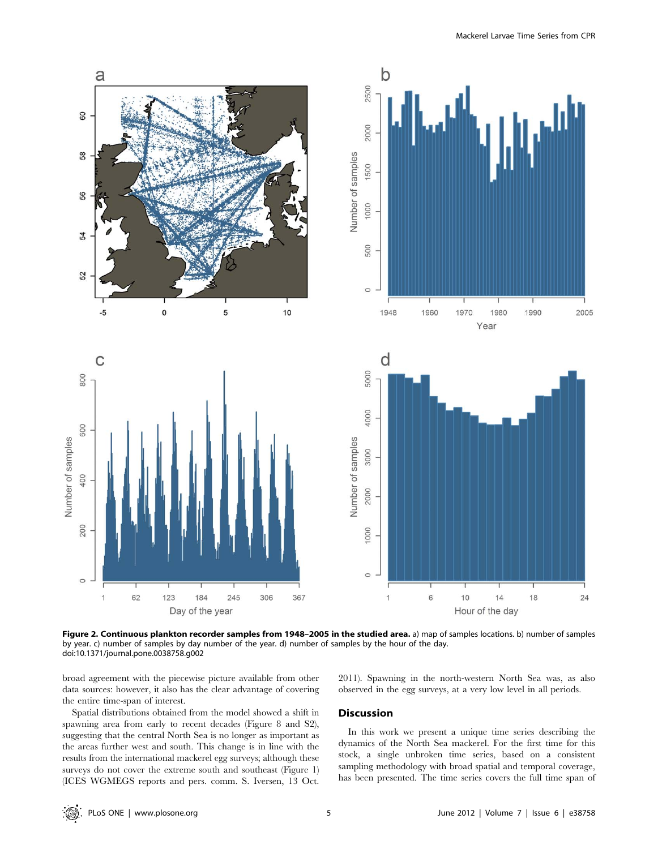

Figure 2. Continuous plankton recorder samples from 1948-2005 in the studied area. a) map of samples locations. b) number of samples by year. c) number of samples by day number of the year. d) number of samples by the hour of the day. doi:10.1371/journal.pone.0038758.g002

broad agreement with the piecewise picture available from other data sources: however, it also has the clear advantage of covering the entire time-span of interest.

Spatial distributions obtained from the model showed a shift in spawning area from early to recent decades (Figure 8 and S2), suggesting that the central North Sea is no longer as important as the areas further west and south. This change is in line with the results from the international mackerel egg surveys; although these surveys do not cover the extreme south and southeast (Figure 1) (ICES WGMEGS reports and pers. comm. S. Iversen, 13 Oct. 2011). Spawning in the north-western North Sea was, as also observed in the egg surveys, at a very low level in all periods.

# Discussion

In this work we present a unique time series describing the dynamics of the North Sea mackerel. For the first time for this stock, a single unbroken time series, based on a consistent sampling methodology with broad spatial and temporal coverage, has been presented. The time series covers the full time span of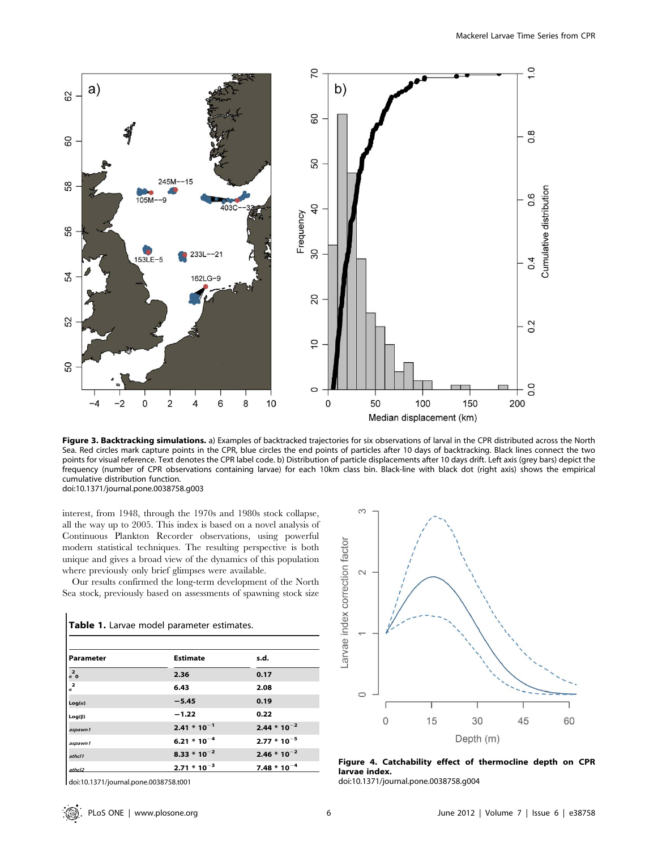

Figure 3. Backtracking simulations. a) Examples of backtracked trajectories for six observations of larval in the CPR distributed across the North Sea. Red circles mark capture points in the CPR, blue circles the end points of particles after 10 days of backtracking. Black lines connect the two points for visual reference. Text denotes the CPR label code. b) Distribution of particle displacements after 10 days drift. Left axis (grey bars) depict the frequency (number of CPR observations containing larvae) for each 10km class bin. Black-line with black dot (right axis) shows the empirical cumulative distribution function. doi:10.1371/journal.pone.0038758.g003

interest, from 1948, through the 1970s and 1980s stock collapse, all the way up to 2005. This index is based on a novel analysis of Continuous Plankton Recorder observations, using powerful modern statistical techniques. The resulting perspective is both unique and gives a broad view of the dynamics of this population where previously only brief glimpses were available.

Our results confirmed the long-term development of the North Sea stock, previously based on assessments of spawning stock size

| Parameter                           | <b>Estimate</b>  | s.d.             |
|-------------------------------------|------------------|------------------|
| $\sigma^2$                          | 2.36             | 0.17             |
| $\overline{\mathbf{2}}$<br>$\sigma$ | 6.43             | 2.08             |
| Log(a)                              | $-5.45$          | 0.19             |
| $Log(\beta)$                        | $-1.22$          | 0.22             |
| aspawn1                             | $2.41 * 10^{-1}$ | $2.44 * 10^{-2}$ |
| aspawn1                             | 6.21 $*10^{-4}$  | $2.77 * 10^{-5}$ |
| athcl1                              | $8.33 * 10^{-2}$ | $2.46 * 10^{-2}$ |
| athcl2                              | $2.71 * 10^{-3}$ | $7.48 * 10^{-4}$ |



Figure 4. Catchability effect of thermocline depth on CPR larvae index. doi:10.1371/journal.pone.0038758.g004

doi:10.1371/journal.pone.0038758.t001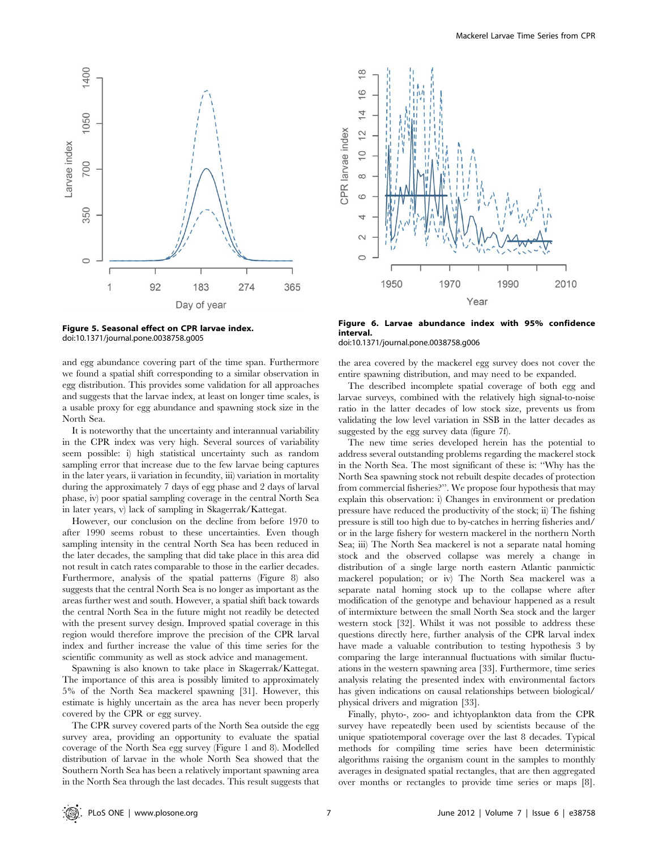

Figure 5. Seasonal effect on CPR larvae index. doi:10.1371/journal.pone.0038758.g005

and egg abundance covering part of the time span. Furthermore we found a spatial shift corresponding to a similar observation in egg distribution. This provides some validation for all approaches and suggests that the larvae index, at least on longer time scales, is a usable proxy for egg abundance and spawning stock size in the North Sea.

It is noteworthy that the uncertainty and interannual variability in the CPR index was very high. Several sources of variability seem possible: i) high statistical uncertainty such as random sampling error that increase due to the few larvae being captures in the later years, ii variation in fecundity, iii) variation in mortality during the approximately 7 days of egg phase and 2 days of larval phase, iv) poor spatial sampling coverage in the central North Sea in later years, v) lack of sampling in Skagerrak/Kattegat.

However, our conclusion on the decline from before 1970 to after 1990 seems robust to these uncertainties. Even though sampling intensity in the central North Sea has been reduced in the later decades, the sampling that did take place in this area did not result in catch rates comparable to those in the earlier decades. Furthermore, analysis of the spatial patterns (Figure 8) also suggests that the central North Sea is no longer as important as the areas further west and south. However, a spatial shift back towards the central North Sea in the future might not readily be detected with the present survey design. Improved spatial coverage in this region would therefore improve the precision of the CPR larval index and further increase the value of this time series for the scientific community as well as stock advice and management.

Spawning is also known to take place in Skagerrak/Kattegat. The importance of this area is possibly limited to approximately 5% of the North Sea mackerel spawning [31]. However, this estimate is highly uncertain as the area has never been properly covered by the CPR or egg survey.

The CPR survey covered parts of the North Sea outside the egg survey area, providing an opportunity to evaluate the spatial coverage of the North Sea egg survey (Figure 1 and 8). Modelled distribution of larvae in the whole North Sea showed that the Southern North Sea has been a relatively important spawning area in the North Sea through the last decades. This result suggests that



Figure 6. Larvae abundance index with 95% confidence interval. doi:10.1371/journal.pone.0038758.g006

the area covered by the mackerel egg survey does not cover the entire spawning distribution, and may need to be expanded.

The described incomplete spatial coverage of both egg and larvae surveys, combined with the relatively high signal-to-noise ratio in the latter decades of low stock size, prevents us from validating the low level variation in SSB in the latter decades as suggested by the egg survey data (figure 7f).

The new time series developed herein has the potential to address several outstanding problems regarding the mackerel stock in the North Sea. The most significant of these is: ''Why has the North Sea spawning stock not rebuilt despite decades of protection from commercial fisheries?''. We propose four hypothesis that may explain this observation: i) Changes in environment or predation pressure have reduced the productivity of the stock; ii) The fishing pressure is still too high due to by-catches in herring fisheries and/ or in the large fishery for western mackerel in the northern North Sea; iii) The North Sea mackerel is not a separate natal homing stock and the observed collapse was merely a change in distribution of a single large north eastern Atlantic panmictic mackerel population; or iv) The North Sea mackerel was a separate natal homing stock up to the collapse where after modification of the genotype and behaviour happened as a result of intermixture between the small North Sea stock and the larger western stock [32]. Whilst it was not possible to address these questions directly here, further analysis of the CPR larval index have made a valuable contribution to testing hypothesis 3 by comparing the large interannual fluctuations with similar fluctuations in the western spawning area [33]. Furthermore, time series analysis relating the presented index with environmental factors has given indications on causal relationships between biological/ physical drivers and migration [33].

Finally, phyto-, zoo- and ichtyoplankton data from the CPR survey have repeatedly been used by scientists because of the unique spatiotemporal coverage over the last 8 decades. Typical methods for compiling time series have been deterministic algorithms raising the organism count in the samples to monthly averages in designated spatial rectangles, that are then aggregated over months or rectangles to provide time series or maps [8].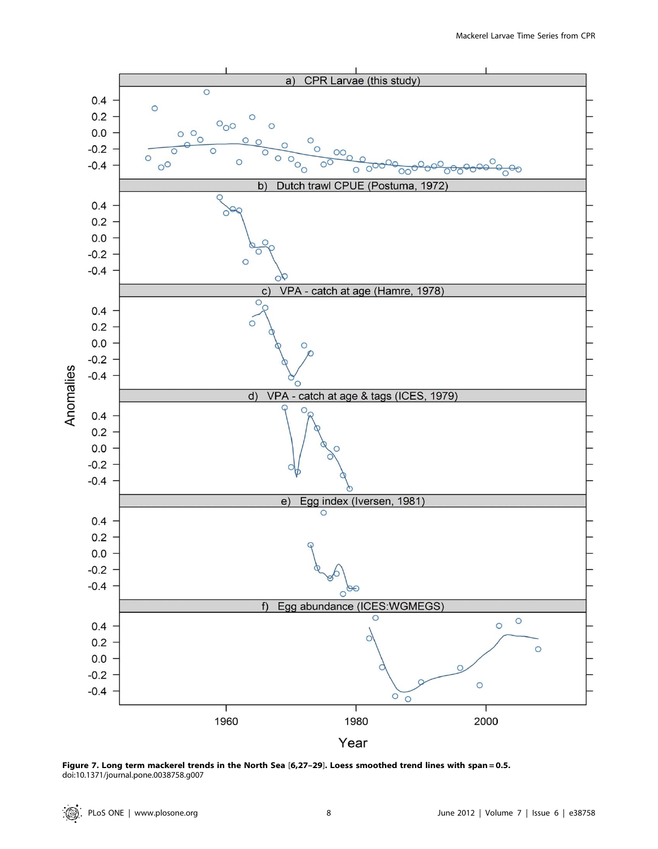

Figure 7. Long term mackerel trends in the North Sea [6,27-29]. Loess smoothed trend lines with span = 0.5. doi:10.1371/journal.pone.0038758.g007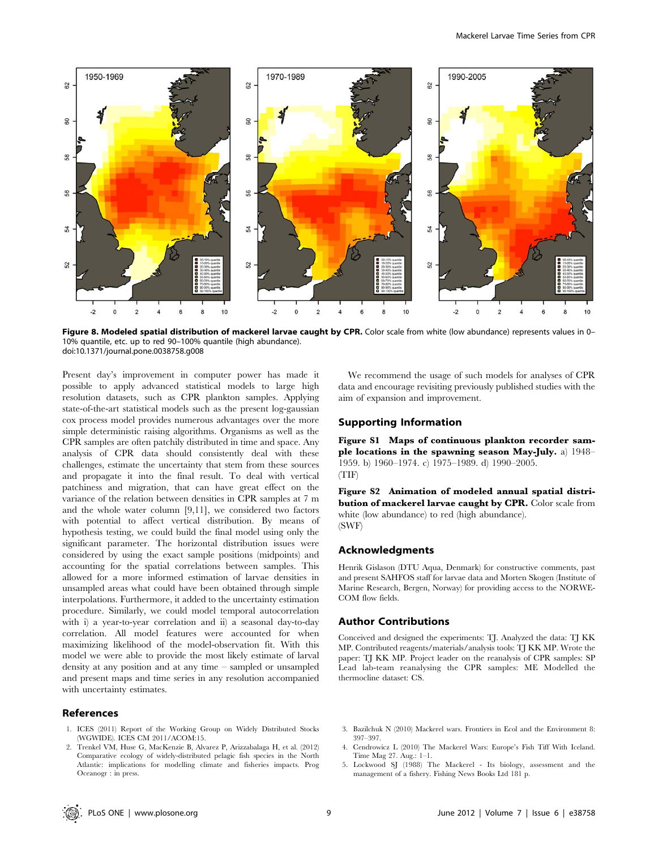

Figure 8. Modeled spatial distribution of mackerel larvae caught by CPR. Color scale from white (low abundance) represents values in 0-10% quantile, etc. up to red 90–100% quantile (high abundance). doi:10.1371/journal.pone.0038758.g008

Present day's improvement in computer power has made it possible to apply advanced statistical models to large high resolution datasets, such as CPR plankton samples. Applying state-of-the-art statistical models such as the present log-gaussian cox process model provides numerous advantages over the more simple deterministic raising algorithms. Organisms as well as the CPR samples are often patchily distributed in time and space. Any analysis of CPR data should consistently deal with these challenges, estimate the uncertainty that stem from these sources and propagate it into the final result. To deal with vertical patchiness and migration, that can have great effect on the variance of the relation between densities in CPR samples at 7 m and the whole water column [9,11], we considered two factors with potential to affect vertical distribution. By means of hypothesis testing, we could build the final model using only the significant parameter. The horizontal distribution issues were considered by using the exact sample positions (midpoints) and accounting for the spatial correlations between samples. This allowed for a more informed estimation of larvae densities in unsampled areas what could have been obtained through simple interpolations. Furthermore, it added to the uncertainty estimation procedure. Similarly, we could model temporal autocorrelation with i) a year-to-year correlation and ii) a seasonal day-to-day correlation. All model features were accounted for when maximizing likelihood of the model-observation fit. With this model we were able to provide the most likely estimate of larval density at any position and at any time – sampled or unsampled and present maps and time series in any resolution accompanied with uncertainty estimates.

## References

- 1. ICES (2011) Report of the Working Group on Widely Distributed Stocks (WGWIDE). ICES CM 2011/ACOM:15.
- 2. Trenkel VM, Huse G, MacKenzie B, Alvarez P, Arizzabalaga H, et al. (2012) Comparative ecology of widely-distributed pelagic fish species in the North Atlantic: implications for modelling climate and fisheries impacts. Prog Oceanogr : in press.

We recommend the usage of such models for analyses of CPR data and encourage revisiting previously published studies with the aim of expansion and improvement.

## Supporting Information

Figure S1 Maps of continuous plankton recorder sample locations in the spawning season May-July. a) 1948– 1959. b) 1960–1974. c) 1975–1989. d) 1990–2005. (TIF)

Figure S2 Animation of modeled annual spatial distribution of mackerel larvae caught by CPR. Color scale from white (low abundance) to red (high abundance). (SWF)

#### Acknowledgments

Henrik Gislason (DTU Aqua, Denmark) for constructive comments, past and present SAHFOS staff for larvae data and Morten Skogen (Institute of Marine Research, Bergen, Norway) for providing access to the NORWE-COM flow fields.

#### Author Contributions

Conceived and designed the experiments: TJ. Analyzed the data: TJ KK MP. Contributed reagents/materials/analysis tools: TJ KK MP. Wrote the paper: TJ KK MP. Project leader on the reanalysis of CPR samples: SP Lead lab-team reanalysing the CPR samples: ME Modelled the thermocline dataset: CS.

- 3. Bazilchuk N (2010) Mackerel wars. Frontiers in Ecol and the Environment 8: 397–397.
- 4. Cendrowicz L (2010) The Mackerel Wars: Europe's Fish Tiff With Iceland. Time Mag 27. Aug.: 1–1.
- 5. Lockwood SJ (1988) The Mackerel Its biology, assessment and the management of a fishery. Fishing News Books Ltd 181 p.